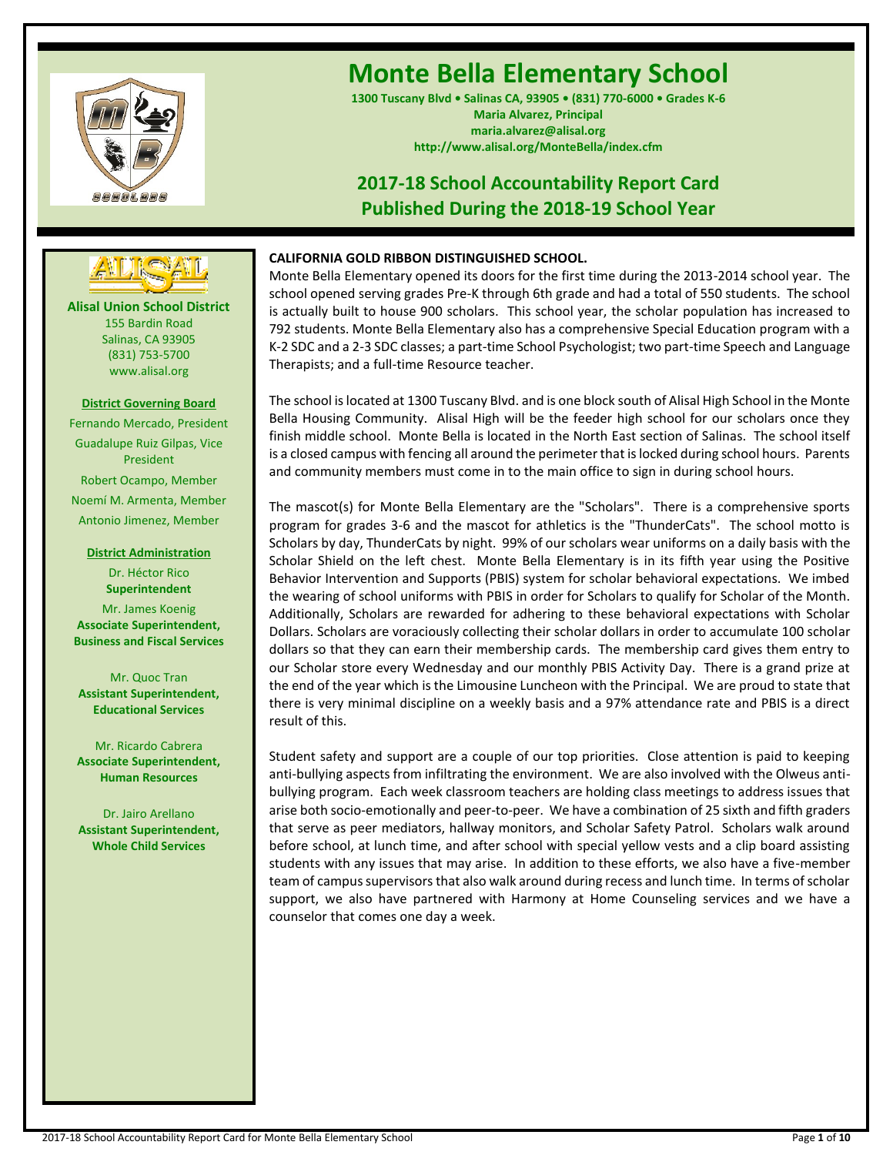

# **Monte Bella Elementary School**

**1300 Tuscany Blvd • Salinas CA, 93905 • (831) 770-6000 • Grades K-6 Maria Alvarez, Principal maria.alvarez@alisal.org http://www.alisal.org/MonteBella/index.cfm**

## **2017-18 School Accountability Report Card Published During the 2018-19 School Year**



**Alisal Union School District** 155 Bardin Road Salinas, CA 93905 (831) 753-5700 www.alisal.org

## **District Governing Board**

Fernando Mercado, President Guadalupe Ruiz Gilpas, Vice President Robert Ocampo, Member Noemí M. Armenta, Member Antonio Jimenez, Member

> **District Administration** Dr. Héctor Rico **Superintendent**

Mr. James Koenig **Associate Superintendent, Business and Fiscal Services**

Mr. Quoc Tran **Assistant Superintendent, Educational Services**

Mr. Ricardo Cabrera **Associate Superintendent, Human Resources**

Dr. Jairo Arellano **Assistant Superintendent, Whole Child Services**

## **CALIFORNIA GOLD RIBBON DISTINGUISHED SCHOOL.**

Monte Bella Elementary opened its doors for the first time during the 2013-2014 school year. The school opened serving grades Pre-K through 6th grade and had a total of 550 students. The school is actually built to house 900 scholars. This school year, the scholar population has increased to 792 students. Monte Bella Elementary also has a comprehensive Special Education program with a K-2 SDC and a 2-3 SDC classes; a part-time School Psychologist; two part-time Speech and Language Therapists; and a full-time Resource teacher.

The school is located at 1300 Tuscany Blvd. and is one block south of Alisal High School in the Monte Bella Housing Community. Alisal High will be the feeder high school for our scholars once they finish middle school. Monte Bella is located in the North East section of Salinas. The school itself is a closed campus with fencing all around the perimeter that is locked during school hours. Parents and community members must come in to the main office to sign in during school hours.

The mascot(s) for Monte Bella Elementary are the "Scholars". There is a comprehensive sports program for grades 3-6 and the mascot for athletics is the "ThunderCats". The school motto is Scholars by day, ThunderCats by night. 99% of our scholars wear uniforms on a daily basis with the Scholar Shield on the left chest. Monte Bella Elementary is in its fifth year using the Positive Behavior Intervention and Supports (PBIS) system for scholar behavioral expectations. We imbed the wearing of school uniforms with PBIS in order for Scholars to qualify for Scholar of the Month. Additionally, Scholars are rewarded for adhering to these behavioral expectations with Scholar Dollars. Scholars are voraciously collecting their scholar dollars in order to accumulate 100 scholar dollars so that they can earn their membership cards. The membership card gives them entry to our Scholar store every Wednesday and our monthly PBIS Activity Day. There is a grand prize at the end of the year which is the Limousine Luncheon with the Principal. We are proud to state that there is very minimal discipline on a weekly basis and a 97% attendance rate and PBIS is a direct result of this.

Student safety and support are a couple of our top priorities. Close attention is paid to keeping anti-bullying aspects from infiltrating the environment. We are also involved with the Olweus antibullying program. Each week classroom teachers are holding class meetings to address issues that arise both socio-emotionally and peer-to-peer. We have a combination of 25 sixth and fifth graders that serve as peer mediators, hallway monitors, and Scholar Safety Patrol. Scholars walk around before school, at lunch time, and after school with special yellow vests and a clip board assisting students with any issues that may arise. In addition to these efforts, we also have a five-member team of campus supervisors that also walk around during recess and lunch time. In terms of scholar support, we also have partnered with Harmony at Home Counseling services and we have a counselor that comes one day a week.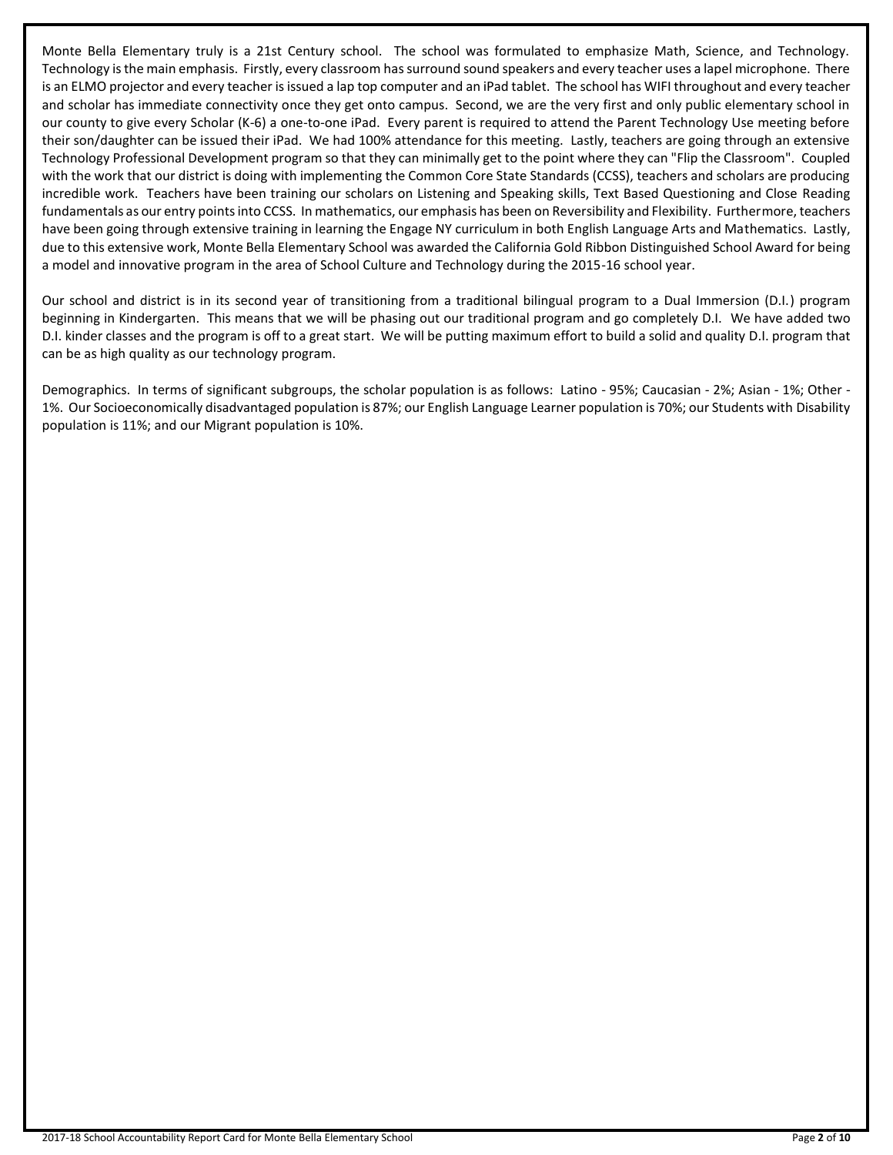Monte Bella Elementary truly is a 21st Century school. The school was formulated to emphasize Math, Science, and Technology. Technology is the main emphasis. Firstly, every classroom has surround sound speakers and every teacher uses a lapel microphone. There is an ELMO projector and every teacher is issued a lap top computer and an iPad tablet. The school has WIFI throughout and every teacher and scholar has immediate connectivity once they get onto campus. Second, we are the very first and only public elementary school in our county to give every Scholar (K-6) a one-to-one iPad. Every parent is required to attend the Parent Technology Use meeting before their son/daughter can be issued their iPad. We had 100% attendance for this meeting. Lastly, teachers are going through an extensive Technology Professional Development program so that they can minimally get to the point where they can "Flip the Classroom". Coupled with the work that our district is doing with implementing the Common Core State Standards (CCSS), teachers and scholars are producing incredible work. Teachers have been training our scholars on Listening and Speaking skills, Text Based Questioning and Close Reading fundamentals as our entry points into CCSS. In mathematics, our emphasis has been on Reversibility and Flexibility. Furthermore, teachers have been going through extensive training in learning the Engage NY curriculum in both English Language Arts and Mathematics. Lastly, due to this extensive work, Monte Bella Elementary School was awarded the California Gold Ribbon Distinguished School Award for being a model and innovative program in the area of School Culture and Technology during the 2015-16 school year.

Our school and district is in its second year of transitioning from a traditional bilingual program to a Dual Immersion (D.I.) program beginning in Kindergarten. This means that we will be phasing out our traditional program and go completely D.I. We have added two D.I. kinder classes and the program is off to a great start. We will be putting maximum effort to build a solid and quality D.I. program that can be as high quality as our technology program.

Demographics. In terms of significant subgroups, the scholar population is as follows: Latino - 95%; Caucasian - 2%; Asian - 1%; Other - 1%. Our Socioeconomically disadvantaged population is 87%; our English Language Learner population is 70%; our Students with Disability population is 11%; and our Migrant population is 10%.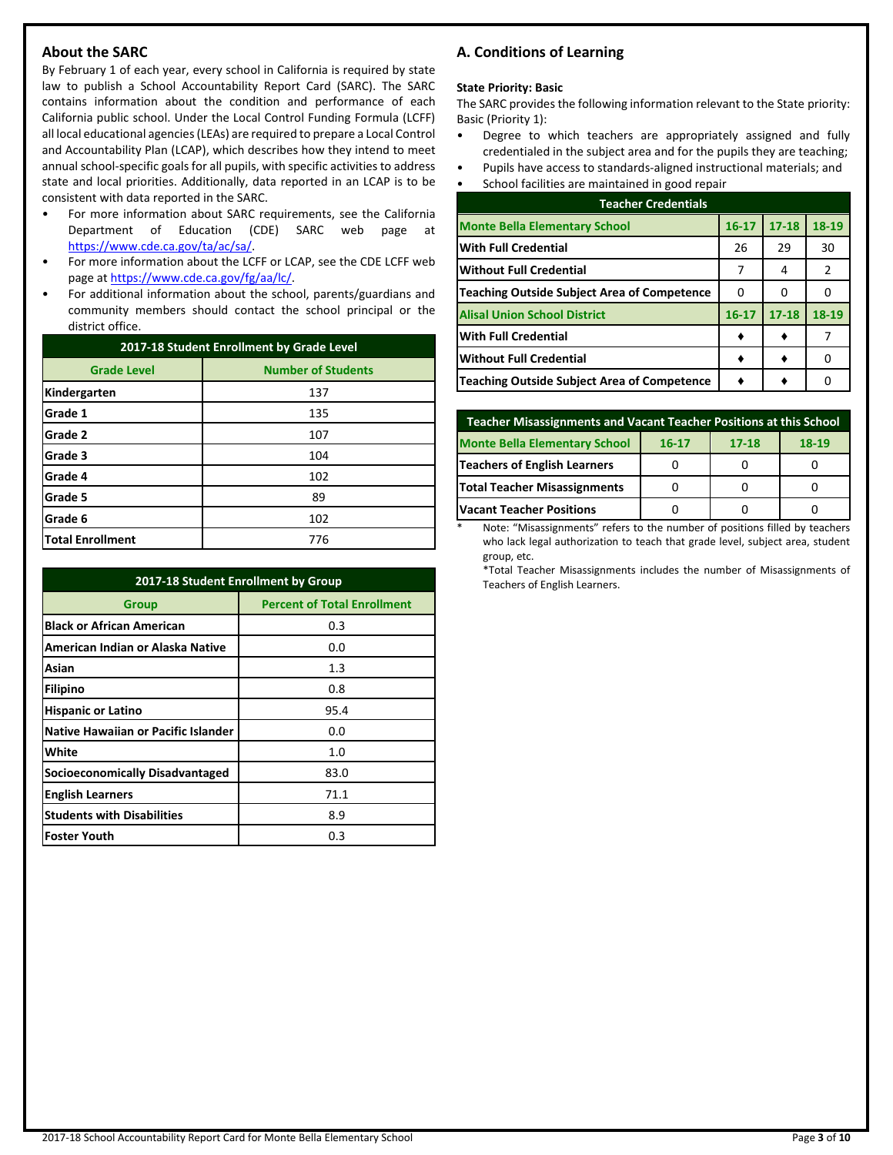## **About the SARC**

By February 1 of each year, every school in California is required by state law to publish a School Accountability Report Card (SARC). The SARC contains information about the condition and performance of each California public school. Under the Local Control Funding Formula (LCFF) all local educational agencies (LEAs) are required to prepare a Local Control and Accountability Plan (LCAP), which describes how they intend to meet annual school-specific goals for all pupils, with specific activities to address state and local priorities. Additionally, data reported in an LCAP is to be consistent with data reported in the SARC.

- For more information about SARC requirements, see the California Department of Education (CDE) SARC web page at [https://www.cde.ca.gov/ta/ac/sa/.](https://www.cde.ca.gov/ta/ac/sa/)
- For more information about the LCFF or LCAP, see the CDE LCFF web page at [https://www.cde.ca.gov/fg/aa/lc/.](https://www.cde.ca.gov/fg/aa/lc/)
- For additional information about the school, parents/guardians and community members should contact the school principal or the district office.

| 2017-18 Student Enrollment by Grade Level |                           |  |  |  |
|-------------------------------------------|---------------------------|--|--|--|
| <b>Grade Level</b>                        | <b>Number of Students</b> |  |  |  |
| Kindergarten                              | 137                       |  |  |  |
| Grade 1                                   | 135                       |  |  |  |
| Grade 2                                   | 107                       |  |  |  |
| Grade 3                                   | 104                       |  |  |  |
| Grade 4                                   | 102                       |  |  |  |
| Grade 5                                   | 89                        |  |  |  |
| Grade 6                                   | 102                       |  |  |  |
| <b>Total Enrollment</b>                   | 776                       |  |  |  |

| 2017-18 Student Enrollment by Group    |                                    |  |  |  |
|----------------------------------------|------------------------------------|--|--|--|
| <b>Group</b>                           | <b>Percent of Total Enrollment</b> |  |  |  |
| <b>Black or African American</b>       | 0.3                                |  |  |  |
| American Indian or Alaska Native       | 0.0                                |  |  |  |
| Asian                                  | 1.3                                |  |  |  |
| Filipino                               | 0.8                                |  |  |  |
| <b>Hispanic or Latino</b>              | 95.4                               |  |  |  |
| Native Hawaiian or Pacific Islander    | 0.0                                |  |  |  |
| White                                  | 1.0                                |  |  |  |
| <b>Socioeconomically Disadvantaged</b> | 83.0                               |  |  |  |
| <b>English Learners</b>                | 71.1                               |  |  |  |
| <b>Students with Disabilities</b>      | 8.9                                |  |  |  |
| <b>Foster Youth</b>                    | 0.3                                |  |  |  |

## **A. Conditions of Learning**

## **State Priority: Basic**

The SARC provides the following information relevant to the State priority: Basic (Priority 1):

- Degree to which teachers are appropriately assigned and fully credentialed in the subject area and for the pupils they are teaching;
- Pupils have access to standards-aligned instructional materials; and
- School facilities are maintained in good repair

| <b>Teacher Credentials</b>                         |           |           |       |  |  |
|----------------------------------------------------|-----------|-----------|-------|--|--|
| <b>Monte Bella Elementary School</b>               | $16 - 17$ | $17 - 18$ | 18-19 |  |  |
| <b>With Full Credential</b>                        | 26        | 29        | 30    |  |  |
| <b>Without Full Credential</b>                     | 7         | 4         | 2     |  |  |
| <b>Teaching Outside Subject Area of Competence</b> | 0         | o         |       |  |  |
| <b>Alisal Union School District</b>                | $16 - 17$ | $17 - 18$ | 18-19 |  |  |
| <b>With Full Credential</b>                        |           |           |       |  |  |
| <b>Without Full Credential</b>                     |           |           | O     |  |  |
| <b>Teaching Outside Subject Area of Competence</b> |           |           | Ω     |  |  |

| <b>Teacher Misassignments and Vacant Teacher Positions at this School</b> |  |  |  |  |  |  |  |
|---------------------------------------------------------------------------|--|--|--|--|--|--|--|
| <b>Monte Bella Elementary School</b><br>$18-19$<br>$17 - 18$<br>$16 - 17$ |  |  |  |  |  |  |  |
| Teachers of English Learners                                              |  |  |  |  |  |  |  |
| <b>Total Teacher Misassignments</b>                                       |  |  |  |  |  |  |  |
| <b>Vacant Teacher Positions</b>                                           |  |  |  |  |  |  |  |

Note: "Misassignments" refers to the number of positions filled by teachers who lack legal authorization to teach that grade level, subject area, student group, etc.

\*Total Teacher Misassignments includes the number of Misassignments of Teachers of English Learners.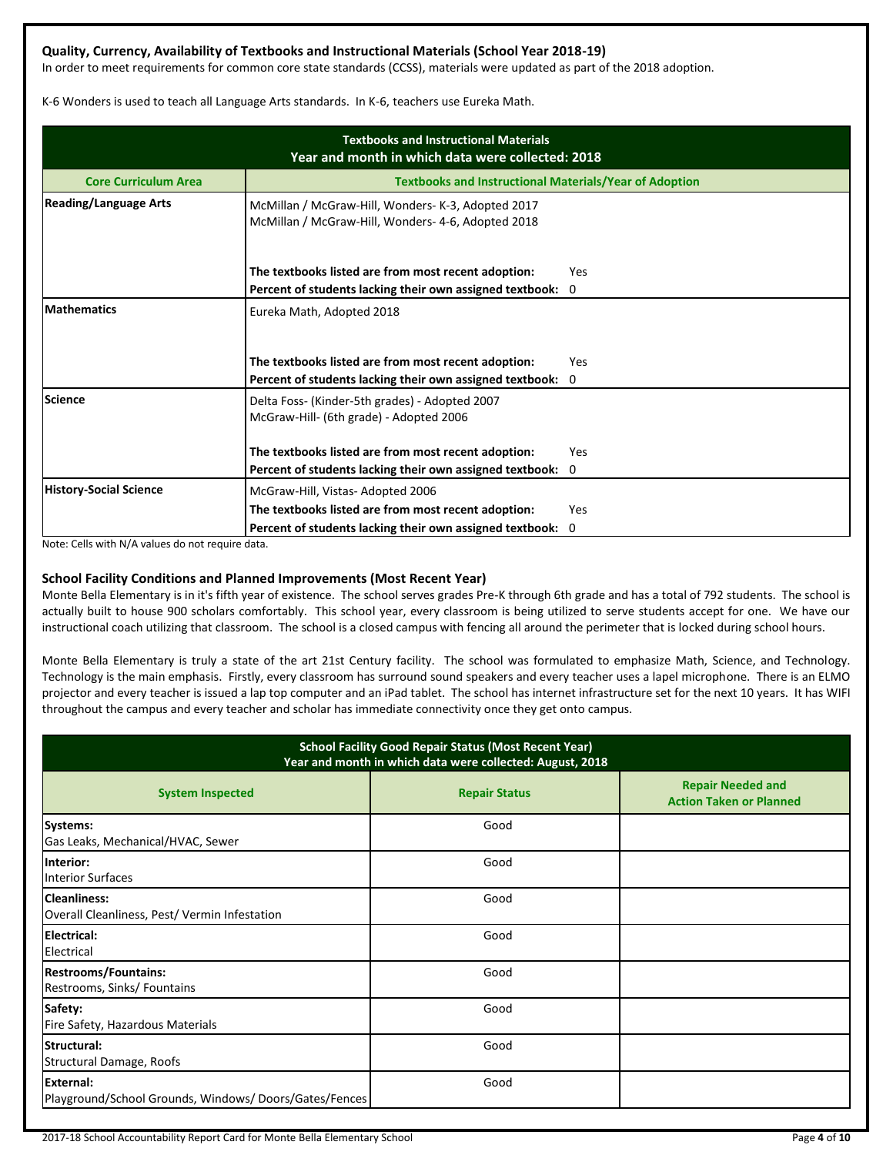## **Quality, Currency, Availability of Textbooks and Instructional Materials (School Year 2018-19)**

In order to meet requirements for common core state standards (CCSS), materials were updated as part of the 2018 adoption.

K-6 Wonders is used to teach all Language Arts standards. In K-6, teachers use Eureka Math.

| <b>Textbooks and Instructional Materials</b><br>Year and month in which data were collected: 2018 |                                                                                                          |             |  |  |  |  |
|---------------------------------------------------------------------------------------------------|----------------------------------------------------------------------------------------------------------|-------------|--|--|--|--|
| <b>Core Curriculum Area</b>                                                                       | <b>Textbooks and Instructional Materials/Year of Adoption</b>                                            |             |  |  |  |  |
| <b>Reading/Language Arts</b>                                                                      | McMillan / McGraw-Hill, Wonders- K-3, Adopted 2017<br>McMillan / McGraw-Hill, Wonders- 4-6, Adopted 2018 |             |  |  |  |  |
|                                                                                                   | The textbooks listed are from most recent adoption:                                                      | Yes         |  |  |  |  |
|                                                                                                   | Percent of students lacking their own assigned textbook:                                                 | $\mathbf 0$ |  |  |  |  |
| <b>Mathematics</b>                                                                                | Eureka Math, Adopted 2018<br>The textbooks listed are from most recent adoption:                         | Yes         |  |  |  |  |
|                                                                                                   | Percent of students lacking their own assigned textbook:                                                 | $\Omega$    |  |  |  |  |
| <b>Science</b>                                                                                    | Delta Foss- (Kinder-5th grades) - Adopted 2007<br>McGraw-Hill- (6th grade) - Adopted 2006                |             |  |  |  |  |
|                                                                                                   | The textbooks listed are from most recent adoption:                                                      | Yes         |  |  |  |  |
|                                                                                                   | Percent of students lacking their own assigned textbook: 0                                               |             |  |  |  |  |
| <b>History-Social Science</b>                                                                     | McGraw-Hill, Vistas-Adopted 2006                                                                         |             |  |  |  |  |
|                                                                                                   | The textbooks listed are from most recent adoption:                                                      | Yes         |  |  |  |  |
|                                                                                                   | Percent of students lacking their own assigned textbook:                                                 | 0           |  |  |  |  |

Note: Cells with N/A values do not require data.

## **School Facility Conditions and Planned Improvements (Most Recent Year)**

Monte Bella Elementary is in it's fifth year of existence. The school serves grades Pre-K through 6th grade and has a total of 792 students. The school is actually built to house 900 scholars comfortably. This school year, every classroom is being utilized to serve students accept for one. We have our instructional coach utilizing that classroom. The school is a closed campus with fencing all around the perimeter that is locked during school hours.

Monte Bella Elementary is truly a state of the art 21st Century facility. The school was formulated to emphasize Math, Science, and Technology. Technology is the main emphasis. Firstly, every classroom has surround sound speakers and every teacher uses a lapel microphone. There is an ELMO projector and every teacher is issued a lap top computer and an iPad tablet. The school has internet infrastructure set for the next 10 years. It has WIFI throughout the campus and every teacher and scholar has immediate connectivity once they get onto campus.

| <b>School Facility Good Repair Status (Most Recent Year)</b><br>Year and month in which data were collected: August, 2018 |                      |                                                            |  |  |
|---------------------------------------------------------------------------------------------------------------------------|----------------------|------------------------------------------------------------|--|--|
| <b>System Inspected</b>                                                                                                   | <b>Repair Status</b> | <b>Repair Needed and</b><br><b>Action Taken or Planned</b> |  |  |
| Systems:<br>Gas Leaks, Mechanical/HVAC, Sewer                                                                             | Good                 |                                                            |  |  |
| Interior:<br><b>Interior Surfaces</b>                                                                                     | Good                 |                                                            |  |  |
| <b>Cleanliness:</b><br>Overall Cleanliness, Pest/Vermin Infestation                                                       | Good                 |                                                            |  |  |
| <b>Electrical:</b><br>Electrical                                                                                          | Good                 |                                                            |  |  |
| <b>Restrooms/Fountains:</b><br>Restrooms, Sinks/ Fountains                                                                | Good                 |                                                            |  |  |
| Safety:<br>Fire Safety, Hazardous Materials                                                                               | Good                 |                                                            |  |  |
| Structural:<br>Structural Damage, Roofs                                                                                   | Good                 |                                                            |  |  |
| External:<br>Playground/School Grounds, Windows/Doors/Gates/Fences                                                        | Good                 |                                                            |  |  |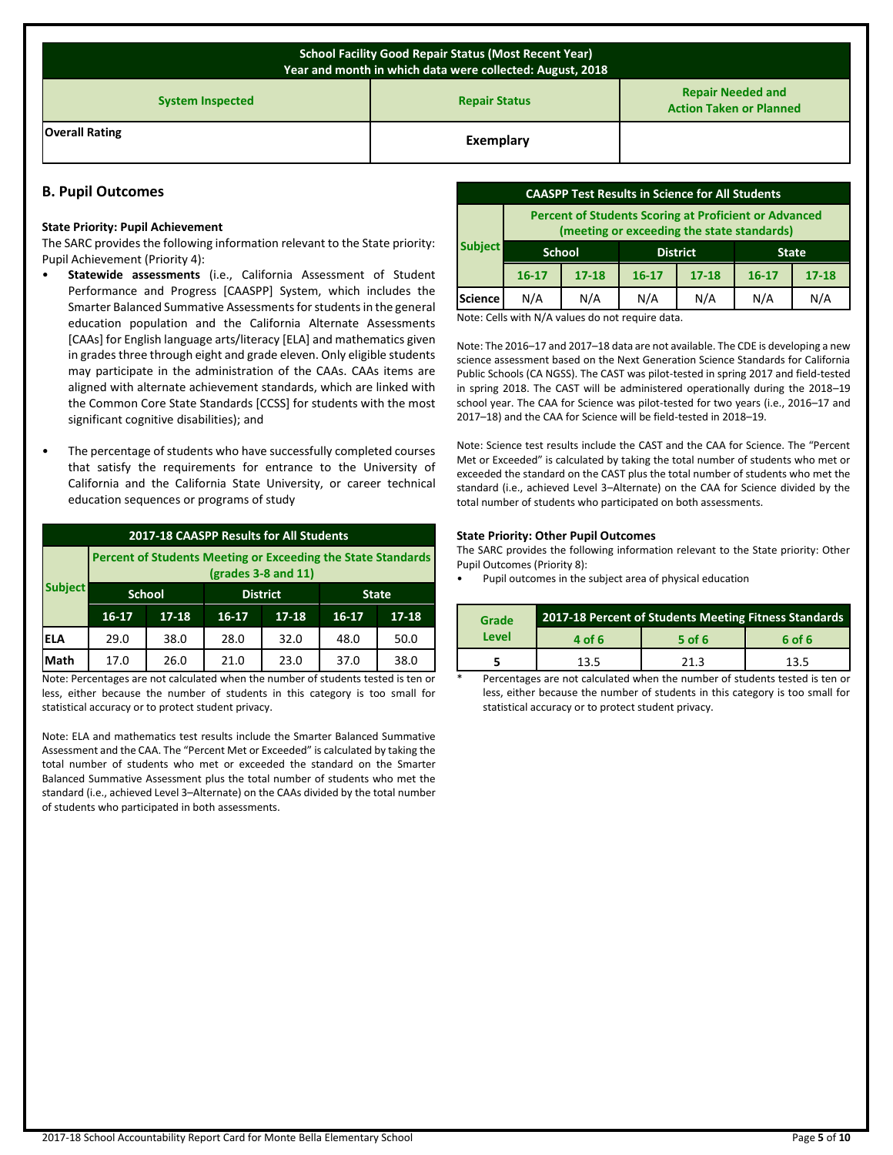| <b>School Facility Good Repair Status (Most Recent Year)</b><br>Year and month in which data were collected: August, 2018 |           |  |  |  |  |
|---------------------------------------------------------------------------------------------------------------------------|-----------|--|--|--|--|
| <b>Repair Needed and</b><br><b>Repair Status</b><br><b>System Inspected</b><br><b>Action Taken or Planned</b>             |           |  |  |  |  |
| <b>Overall Rating</b>                                                                                                     | Exemplary |  |  |  |  |

## **B. Pupil Outcomes**

#### **State Priority: Pupil Achievement**

The SARC provides the following information relevant to the State priority: Pupil Achievement (Priority 4):

- **Statewide assessments** (i.e., California Assessment of Student Performance and Progress [CAASPP] System, which includes the Smarter Balanced Summative Assessments for students in the general education population and the California Alternate Assessments [CAAs] for English language arts/literacy [ELA] and mathematics given in grades three through eight and grade eleven. Only eligible students may participate in the administration of the CAAs. CAAs items are aligned with alternate achievement standards, which are linked with the Common Core State Standards [CCSS] for students with the most significant cognitive disabilities); and
- The percentage of students who have successfully completed courses that satisfy the requirements for entrance to the University of California and the California State University, or career technical education sequences or programs of study

| 2017-18 CAASPP Results for All Students |                                                                                     |                                  |         |              |         |           |
|-----------------------------------------|-------------------------------------------------------------------------------------|----------------------------------|---------|--------------|---------|-----------|
|                                         | Percent of Students Meeting or Exceeding the State Standards<br>(grades 3-8 and 11) |                                  |         |              |         |           |
| <b>Subject</b>                          |                                                                                     | <b>School</b><br><b>District</b> |         | <b>State</b> |         |           |
|                                         | $16 - 17$                                                                           | $17 - 18$                        | $16-17$ | $17 - 18$    | $16-17$ | $17 - 18$ |
| <b>ELA</b>                              | 29.0                                                                                | 38.0                             | 28.0    | 32.0         | 48.0    | 50.0      |
| Math                                    | 17.0                                                                                | 26.0                             | 21.0    | 23.0         | 37.0    | 38.0      |
| .                                       | and the contract of the contract of                                                 |                                  | .       |              | .       |           |

Note: Percentages are not calculated when the number of students tested is ten or less, either because the number of students in this category is too small for statistical accuracy or to protect student privacy.

Note: ELA and mathematics test results include the Smarter Balanced Summative Assessment and the CAA. The "Percent Met or Exceeded" is calculated by taking the total number of students who met or exceeded the standard on the Smarter Balanced Summative Assessment plus the total number of students who met the standard (i.e., achieved Level 3–Alternate) on the CAAs divided by the total number of students who participated in both assessments.

| <b>CAASPP Test Results in Science for All Students</b>                                                     |           |           |           |           |              |           |
|------------------------------------------------------------------------------------------------------------|-----------|-----------|-----------|-----------|--------------|-----------|
| <b>Percent of Students Scoring at Proficient or Advanced</b><br>(meeting or exceeding the state standards) |           |           |           |           |              |           |
| <b>Subject</b><br><b>District</b><br><b>School</b>                                                         |           |           |           |           | <b>State</b> |           |
|                                                                                                            | $16 - 17$ | $17 - 18$ | $16 - 17$ | $17 - 18$ | $16 - 17$    | $17 - 18$ |
|                                                                                                            |           |           |           |           |              |           |

Note: Cells with N/A values do not require data.

Note: The 2016–17 and 2017–18 data are not available. The CDE is developing a new science assessment based on the Next Generation Science Standards for California Public Schools (CA NGSS). The CAST was pilot-tested in spring 2017 and field-tested in spring 2018. The CAST will be administered operationally during the 2018–19 school year. The CAA for Science was pilot-tested for two years (i.e., 2016–17 and 2017–18) and the CAA for Science will be field-tested in 2018–19.

Note: Science test results include the CAST and the CAA for Science. The "Percent Met or Exceeded" is calculated by taking the total number of students who met or exceeded the standard on the CAST plus the total number of students who met the standard (i.e., achieved Level 3–Alternate) on the CAA for Science divided by the total number of students who participated on both assessments.

## **State Priority: Other Pupil Outcomes**

The SARC provides the following information relevant to the State priority: Other Pupil Outcomes (Priority 8):

• Pupil outcomes in the subject area of physical education

| Grade | 2017-18 Percent of Students Meeting Fitness Standards |        |        |  |  |
|-------|-------------------------------------------------------|--------|--------|--|--|
| Level | 4 of 6                                                | 5 of 6 | 6 of 6 |  |  |
|       | 13.5                                                  | 21.3   | 13.5   |  |  |

Percentages are not calculated when the number of students tested is ten or less, either because the number of students in this category is too small for statistical accuracy or to protect student privacy.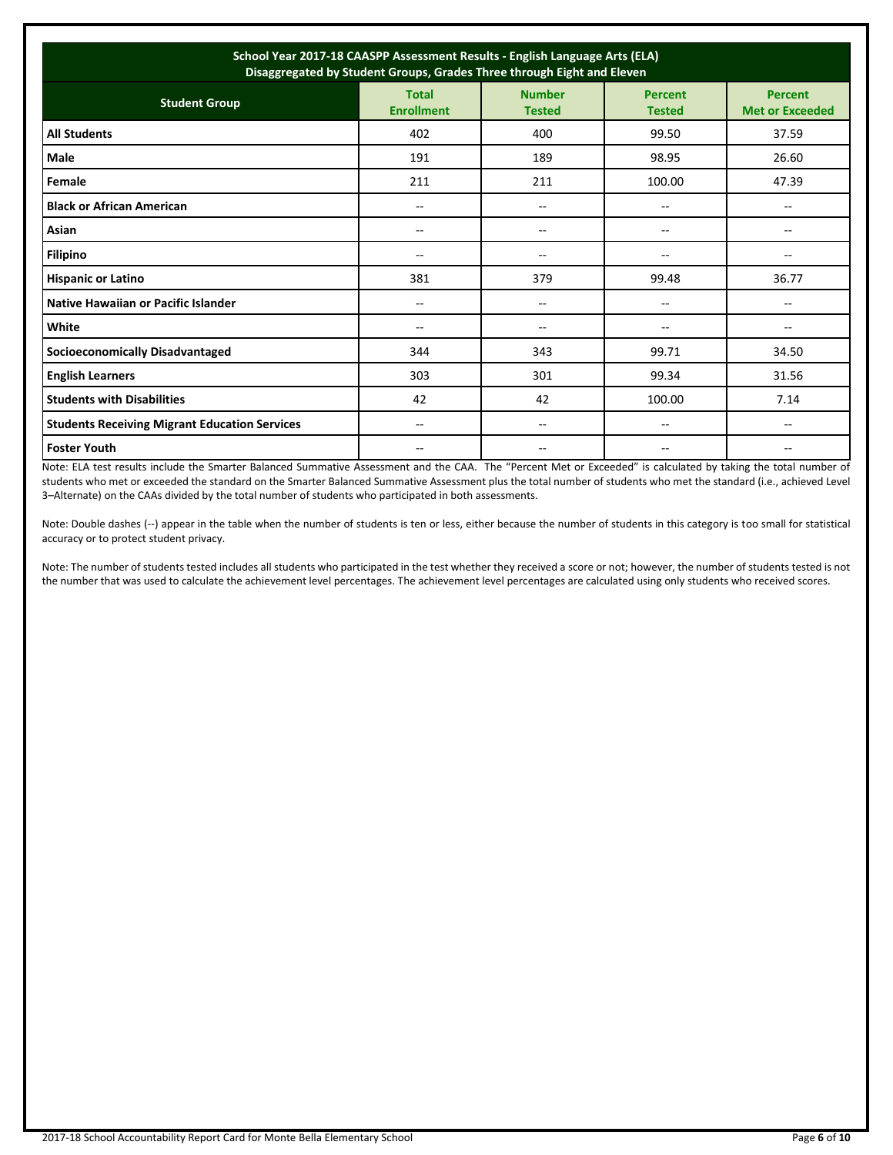| School Year 2017-18 CAASPP Assessment Results - English Language Arts (ELA)<br>Disaggregated by Student Groups, Grades Three through Eight and Eleven |                                   |                                |                                 |                                       |  |
|-------------------------------------------------------------------------------------------------------------------------------------------------------|-----------------------------------|--------------------------------|---------------------------------|---------------------------------------|--|
| <b>Student Group</b>                                                                                                                                  | <b>Total</b><br><b>Enrollment</b> | <b>Number</b><br><b>Tested</b> | <b>Percent</b><br><b>Tested</b> | Percent<br><b>Met or Exceeded</b>     |  |
| <b>All Students</b>                                                                                                                                   | 402                               | 400                            | 99.50                           | 37.59                                 |  |
| Male                                                                                                                                                  | 191                               | 189                            | 98.95                           | 26.60                                 |  |
| Female                                                                                                                                                | 211                               | 211                            | 100.00                          | 47.39                                 |  |
| <b>Black or African American</b>                                                                                                                      | --                                | --                             | --                              | --                                    |  |
| Asian                                                                                                                                                 | --                                | --                             | --                              | $\hspace{0.05cm}$ – $\hspace{0.05cm}$ |  |
| <b>Filipino</b>                                                                                                                                       | $-$                               | $-$                            | --                              | --                                    |  |
| <b>Hispanic or Latino</b>                                                                                                                             | 381                               | 379                            | 99.48                           | 36.77                                 |  |
| Native Hawaiian or Pacific Islander                                                                                                                   | $- -$                             | $-$                            | --                              | $\overline{\phantom{a}}$              |  |
| White                                                                                                                                                 | --                                | --                             | --                              | $- -$                                 |  |
| <b>Socioeconomically Disadvantaged</b>                                                                                                                | 344                               | 343                            | 99.71                           | 34.50                                 |  |
| <b>English Learners</b>                                                                                                                               | 303                               | 301                            | 99.34                           | 31.56                                 |  |
| <b>Students with Disabilities</b>                                                                                                                     | 42                                | 42                             | 100.00                          | 7.14                                  |  |
| <b>Students Receiving Migrant Education Services</b>                                                                                                  | --                                | --                             | --                              | --                                    |  |
| <b>Foster Youth</b>                                                                                                                                   | $- -$                             | --                             | --                              | --                                    |  |

Note: ELA test results include the Smarter Balanced Summative Assessment and the CAA. The "Percent Met or Exceeded" is calculated by taking the total number of students who met or exceeded the standard on the Smarter Balanced Summative Assessment plus the total number of students who met the standard (i.e., achieved Level 3–Alternate) on the CAAs divided by the total number of students who participated in both assessments.

Note: Double dashes (--) appear in the table when the number of students is ten or less, either because the number of students in this category is too small for statistical accuracy or to protect student privacy.

Note: The number of students tested includes all students who participated in the test whether they received a score or not; however, the number of students tested is not the number that was used to calculate the achievement level percentages. The achievement level percentages are calculated using only students who received scores.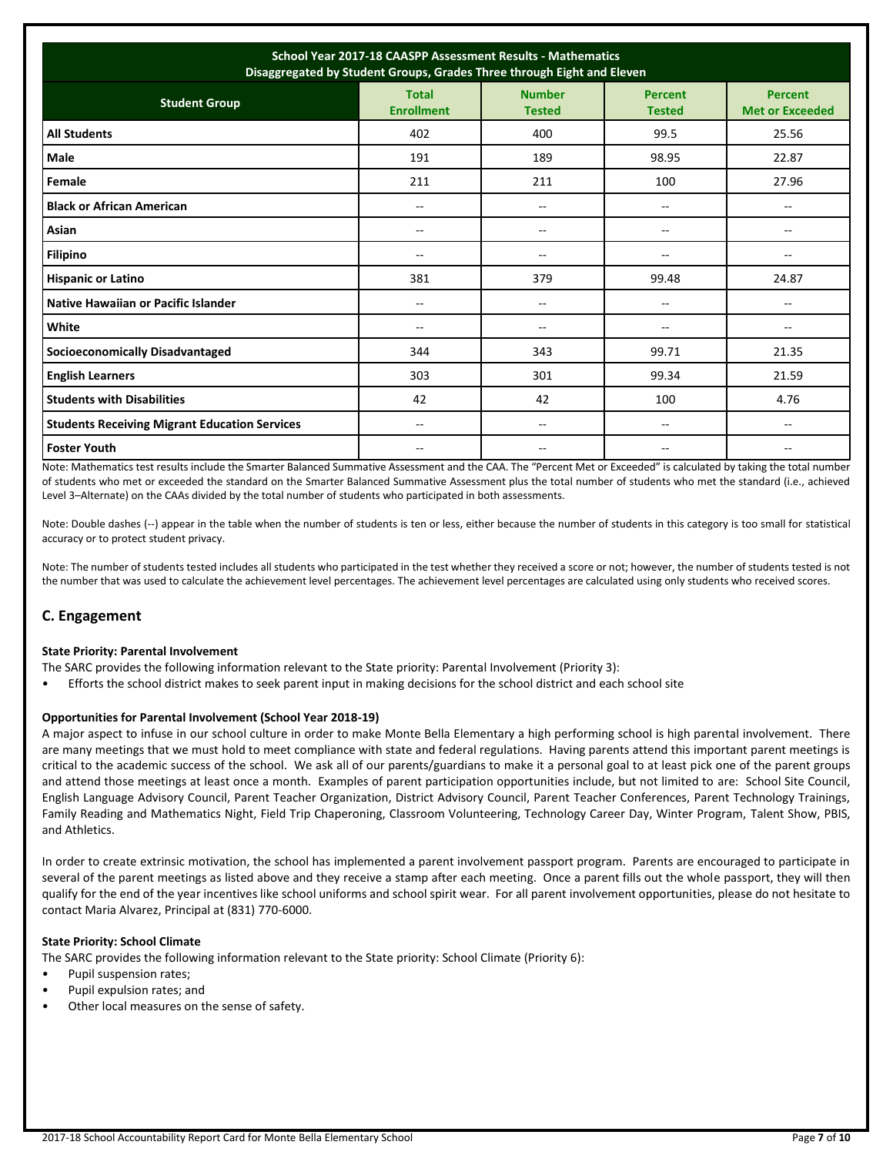| School Year 2017-18 CAASPP Assessment Results - Mathematics<br>Disaggregated by Student Groups, Grades Three through Eight and Eleven |                                   |                                       |                                       |                                          |  |
|---------------------------------------------------------------------------------------------------------------------------------------|-----------------------------------|---------------------------------------|---------------------------------------|------------------------------------------|--|
| <b>Student Group</b>                                                                                                                  | <b>Total</b><br><b>Enrollment</b> | <b>Number</b><br><b>Tested</b>        | <b>Percent</b><br><b>Tested</b>       | <b>Percent</b><br><b>Met or Exceeded</b> |  |
| <b>All Students</b>                                                                                                                   | 402                               | 400                                   | 99.5                                  | 25.56                                    |  |
| Male                                                                                                                                  | 191                               | 189                                   | 98.95                                 | 22.87                                    |  |
| Female                                                                                                                                | 211                               | 211                                   | 100                                   | 27.96                                    |  |
| <b>Black or African American</b>                                                                                                      | $-$                               | $\overline{a}$                        | $\overline{\phantom{m}}$              | $\overline{a}$                           |  |
| Asian                                                                                                                                 | $- -$                             | $\overline{\phantom{a}}$              | $-$                                   | --                                       |  |
| <b>Filipino</b>                                                                                                                       | $-$                               | $\overline{a}$                        | --                                    |                                          |  |
| <b>Hispanic or Latino</b>                                                                                                             | 381                               | 379                                   | 99.48                                 | 24.87                                    |  |
| Native Hawaiian or Pacific Islander                                                                                                   | --                                | --                                    | $\overline{\phantom{a}}$              | $-$                                      |  |
| White                                                                                                                                 | --                                | $\hspace{0.05cm}$ – $\hspace{0.05cm}$ | $\hspace{0.05cm}$ – $\hspace{0.05cm}$ | $-$                                      |  |
| <b>Socioeconomically Disadvantaged</b>                                                                                                | 344                               | 343                                   | 99.71                                 | 21.35                                    |  |
| <b>English Learners</b>                                                                                                               | 303                               | 301                                   | 99.34                                 | 21.59                                    |  |
| <b>Students with Disabilities</b>                                                                                                     | 42                                | 42                                    | 100                                   | 4.76                                     |  |
| <b>Students Receiving Migrant Education Services</b>                                                                                  | $- -$                             | $-$                                   | --                                    |                                          |  |
| <b>Foster Youth</b>                                                                                                                   | --                                | --                                    | $-$                                   |                                          |  |

Note: Mathematics test results include the Smarter Balanced Summative Assessment and the CAA. The "Percent Met or Exceeded" is calculated by taking the total number of students who met or exceeded the standard on the Smarter Balanced Summative Assessment plus the total number of students who met the standard (i.e., achieved Level 3–Alternate) on the CAAs divided by the total number of students who participated in both assessments.

Note: Double dashes (--) appear in the table when the number of students is ten or less, either because the number of students in this category is too small for statistical accuracy or to protect student privacy.

Note: The number of students tested includes all students who participated in the test whether they received a score or not; however, the number of students tested is not the number that was used to calculate the achievement level percentages. The achievement level percentages are calculated using only students who received scores.

## **C. Engagement**

#### **State Priority: Parental Involvement**

- The SARC provides the following information relevant to the State priority: Parental Involvement (Priority 3):
- Efforts the school district makes to seek parent input in making decisions for the school district and each school site

#### **Opportunities for Parental Involvement (School Year 2018-19)**

A major aspect to infuse in our school culture in order to make Monte Bella Elementary a high performing school is high parental involvement. There are many meetings that we must hold to meet compliance with state and federal regulations. Having parents attend this important parent meetings is critical to the academic success of the school. We ask all of our parents/guardians to make it a personal goal to at least pick one of the parent groups and attend those meetings at least once a month. Examples of parent participation opportunities include, but not limited to are: School Site Council, English Language Advisory Council, Parent Teacher Organization, District Advisory Council, Parent Teacher Conferences, Parent Technology Trainings, Family Reading and Mathematics Night, Field Trip Chaperoning, Classroom Volunteering, Technology Career Day, Winter Program, Talent Show, PBIS, and Athletics.

In order to create extrinsic motivation, the school has implemented a parent involvement passport program. Parents are encouraged to participate in several of the parent meetings as listed above and they receive a stamp after each meeting. Once a parent fills out the whole passport, they will then qualify for the end of the year incentives like school uniforms and school spirit wear. For all parent involvement opportunities, please do not hesitate to contact Maria Alvarez, Principal at (831) 770-6000.

#### **State Priority: School Climate**

The SARC provides the following information relevant to the State priority: School Climate (Priority 6):

- Pupil suspension rates;
- Pupil expulsion rates; and
- Other local measures on the sense of safety.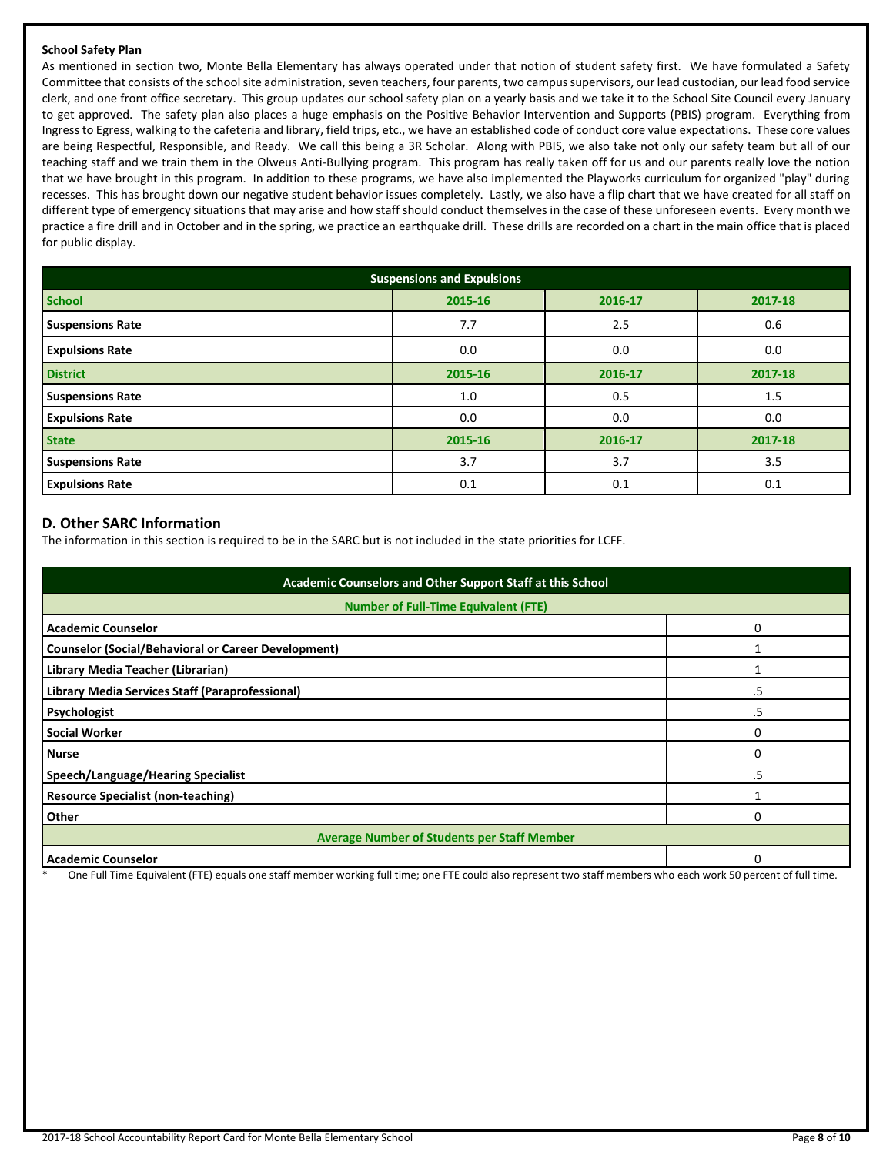## **School Safety Plan**

As mentioned in section two, Monte Bella Elementary has always operated under that notion of student safety first. We have formulated a Safety Committee that consists of the school site administration, seven teachers, four parents, two campus supervisors, our lead custodian, our lead food service clerk, and one front office secretary. This group updates our school safety plan on a yearly basis and we take it to the School Site Council every January to get approved. The safety plan also places a huge emphasis on the Positive Behavior Intervention and Supports (PBIS) program. Everything from Ingress to Egress, walking to the cafeteria and library, field trips, etc., we have an established code of conduct core value expectations. These core values are being Respectful, Responsible, and Ready. We call this being a 3R Scholar. Along with PBIS, we also take not only our safety team but all of our teaching staff and we train them in the Olweus Anti-Bullying program. This program has really taken off for us and our parents really love the notion that we have brought in this program. In addition to these programs, we have also implemented the Playworks curriculum for organized "play" during recesses. This has brought down our negative student behavior issues completely. Lastly, we also have a flip chart that we have created for all staff on different type of emergency situations that may arise and how staff should conduct themselves in the case of these unforeseen events. Every month we practice a fire drill and in October and in the spring, we practice an earthquake drill. These drills are recorded on a chart in the main office that is placed for public display.

| <b>Suspensions and Expulsions</b> |         |         |         |  |  |  |
|-----------------------------------|---------|---------|---------|--|--|--|
| <b>School</b>                     | 2015-16 | 2016-17 | 2017-18 |  |  |  |
| <b>Suspensions Rate</b>           | 7.7     | 2.5     | 0.6     |  |  |  |
| <b>Expulsions Rate</b>            | 0.0     | 0.0     | 0.0     |  |  |  |
| <b>District</b>                   | 2015-16 | 2016-17 | 2017-18 |  |  |  |
| <b>Suspensions Rate</b>           | 1.0     | 0.5     | 1.5     |  |  |  |
| <b>Expulsions Rate</b>            | 0.0     | 0.0     | 0.0     |  |  |  |
| <b>State</b>                      | 2015-16 | 2016-17 | 2017-18 |  |  |  |
| <b>Suspensions Rate</b>           | 3.7     | 3.7     | 3.5     |  |  |  |
| <b>Expulsions Rate</b>            | 0.1     | 0.1     | 0.1     |  |  |  |

## **D. Other SARC Information**

The information in this section is required to be in the SARC but is not included in the state priorities for LCFF.

| Academic Counselors and Other Support Staff at this School |    |  |  |  |  |
|------------------------------------------------------------|----|--|--|--|--|
| <b>Number of Full-Time Equivalent (FTE)</b>                |    |  |  |  |  |
| <b>Academic Counselor</b>                                  |    |  |  |  |  |
| <b>Counselor (Social/Behavioral or Career Development)</b> |    |  |  |  |  |
| Library Media Teacher (Librarian)                          |    |  |  |  |  |
| Library Media Services Staff (Paraprofessional)            | .5 |  |  |  |  |
| Psychologist                                               | .5 |  |  |  |  |
| <b>Social Worker</b>                                       | 0  |  |  |  |  |
| <b>Nurse</b>                                               | ი  |  |  |  |  |
| Speech/Language/Hearing Specialist                         | .5 |  |  |  |  |
| <b>Resource Specialist (non-teaching)</b>                  |    |  |  |  |  |
| <b>Other</b>                                               | ი  |  |  |  |  |
| <b>Average Number of Students per Staff Member</b>         |    |  |  |  |  |
| Academic Counselor                                         |    |  |  |  |  |

One Full Time Equivalent (FTE) equals one staff member working full time; one FTE could also represent two staff members who each work 50 percent of full time.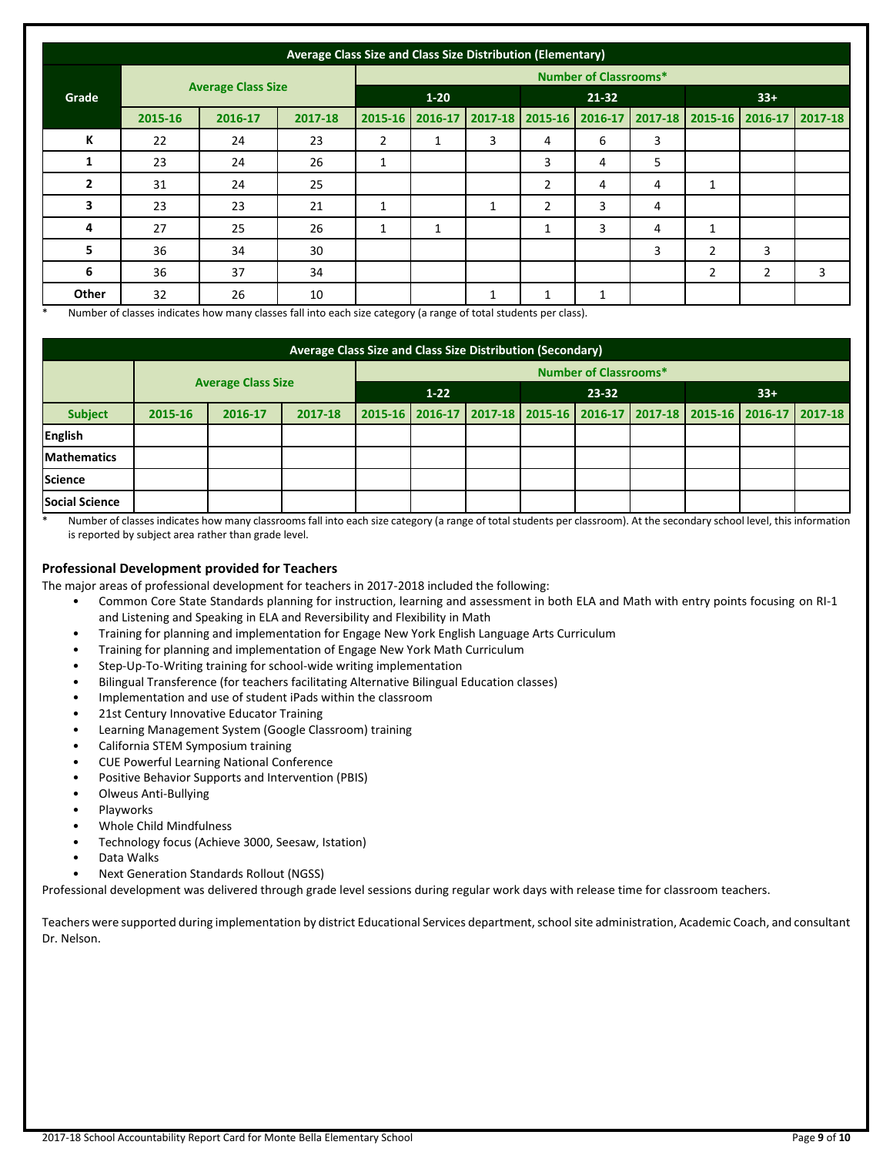| Average Class Size and Class Size Distribution (Elementary) |         |         |          |                              |         |             |                |         |       |                |                                 |   |  |
|-------------------------------------------------------------|---------|---------|----------|------------------------------|---------|-------------|----------------|---------|-------|----------------|---------------------------------|---|--|
|                                                             |         |         |          | <b>Number of Classrooms*</b> |         |             |                |         |       |                |                                 |   |  |
| <b>Average Class Size</b><br>Grade                          |         |         | $1 - 20$ |                              |         | $21 - 32$   |                |         | $33+$ |                |                                 |   |  |
|                                                             | 2015-16 | 2016-17 | 2017-18  | 2015-16                      | 2016-17 | $2017 - 18$ | $2015 - 16$    | 2016-17 |       |                | 2017-18 2015-16 2016-17 2017-18 |   |  |
| К                                                           | 22      | 24      | 23       | $\overline{2}$               | 1       | 3           | 4              | 6       | 3     |                |                                 |   |  |
| 1                                                           | 23      | 24      | 26       | 1                            |         |             | 3              | 4       | 5     |                |                                 |   |  |
| $\overline{2}$                                              | 31      | 24      | 25       |                              |         |             | $\overline{2}$ | 4       | 4     | $\mathbf{1}$   |                                 |   |  |
| 3                                                           | 23      | 23      | 21       | 1                            |         | 1           | $\overline{2}$ | 3       | 4     |                |                                 |   |  |
| 4                                                           | 27      | 25      | 26       | 1                            | 1       |             | 1              | 3       | 4     | 1              |                                 |   |  |
| 5                                                           | 36      | 34      | 30       |                              |         |             |                |         | 3     | $\overline{2}$ | 3                               |   |  |
| 6                                                           | 36      | 37      | 34       |                              |         |             |                |         |       | $\overline{2}$ | $\overline{2}$                  | 3 |  |
| Other                                                       | 32      | 26      | 10       |                              |         | Ŧ           | 1              | 1       |       |                |                                 |   |  |

Number of classes indicates how many classes fall into each size category (a range of total students per class).

| Average Class Size and Class Size Distribution (Secondary) |                              |                           |         |          |  |  |       |  |       |  |                                                                         |  |
|------------------------------------------------------------|------------------------------|---------------------------|---------|----------|--|--|-------|--|-------|--|-------------------------------------------------------------------------|--|
|                                                            | <b>Number of Classrooms*</b> |                           |         |          |  |  |       |  |       |  |                                                                         |  |
|                                                            |                              | <b>Average Class Size</b> |         | $1 - 22$ |  |  | 23-32 |  | $33+$ |  |                                                                         |  |
| <b>Subject</b>                                             | 2015-16                      | 2016-17                   | 2017-18 |          |  |  |       |  |       |  | 2015-16 2016-17 2017-18 2015-16 2016-17 2017-18 2015-16 2016-17 2017-18 |  |
| <b>English</b>                                             |                              |                           |         |          |  |  |       |  |       |  |                                                                         |  |
| <b>Mathematics</b>                                         |                              |                           |         |          |  |  |       |  |       |  |                                                                         |  |
| <b>Science</b>                                             |                              |                           |         |          |  |  |       |  |       |  |                                                                         |  |
| Social Science                                             |                              |                           |         |          |  |  |       |  |       |  |                                                                         |  |

Number of classes indicates how many classrooms fall into each size category (a range of total students per classroom). At the secondary school level, this information is reported by subject area rather than grade level.

## **Professional Development provided for Teachers**

The major areas of professional development for teachers in 2017-2018 included the following:

- Common Core State Standards planning for instruction, learning and assessment in both ELA and Math with entry points focusing on RI-1 and Listening and Speaking in ELA and Reversibility and Flexibility in Math
- Training for planning and implementation for Engage New York English Language Arts Curriculum
- Training for planning and implementation of Engage New York Math Curriculum
- Step-Up-To-Writing training for school-wide writing implementation
- Bilingual Transference (for teachers facilitating Alternative Bilingual Education classes)
- Implementation and use of student iPads within the classroom
- 21st Century Innovative Educator Training
- Learning Management System (Google Classroom) training
- California STEM Symposium training
- CUE Powerful Learning National Conference
- Positive Behavior Supports and Intervention (PBIS)
- Olweus Anti-Bullying
- Playworks
- Whole Child Mindfulness
- Technology focus (Achieve 3000, Seesaw, Istation)
- Data Walks
- Next Generation Standards Rollout (NGSS)

Professional development was delivered through grade level sessions during regular work days with release time for classroom teachers.

Teachers were supported during implementation by district Educational Services department, school site administration, Academic Coach, and consultant Dr. Nelson.